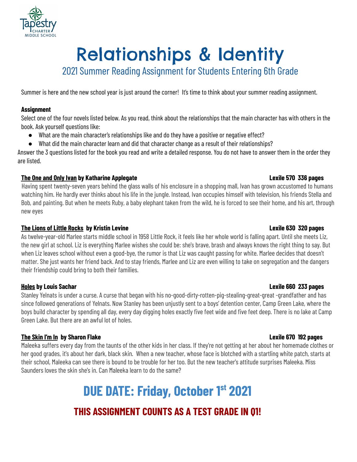

# Relationships & Identity

2021 Summer Reading Assignment for Students Entering 6th Grade

Summer is here and the new school year is just around the corner! It's time to think about your summer reading assignment.

#### **Assignment**

Select one of the four novels listed below. As you read, think about the relationships that the main character has with others in the book. Ask yourself questions like:

- What are the main character's relationships like and do they have a positive or negative effect?
- What did the main character learn and did that character change as a result of their relationships?

Answer the 3 questions listed for the book you read and write a detailed response. You do not have to answer them in the order they are listed.

#### **The One and Only Ivan by Katharine Applegate Lexile 570 336 pages**

Having spent twenty-seven years behind the glass walls of his enclosure in a shopping mall, Ivan has grown accustomed to humans watching him. He hardly ever thinks about his life in the jungle. Instead, Ivan occupies himself with television, his friends Stella and Bob, and painting. But when he meets Ruby, a baby elephant taken from the wild, he is forced to see their home, and his art, through new eyes

#### **The Lions of Little Rocks by Kristin Levine Lexile 630 320 pages**

As twelve-year-old Marlee starts middle school in 1958 Little Rock, it feels like her whole world is falling apart. Until she meets Liz, the new girl at school. Liz is everything Marlee wishes she could be: she's brave, brash and always knows the right thing to say. But when Liz leaves school without even a good-bye, the rumor is that Liz was caught passing for white. Marlee decides that doesn't matter. She just wants her friend back. And to stay friends, Marlee and Liz are even willing to take on segregation and the dangers their friendship could bring to both their families.

#### **Holes by Louis Sachar Lexile 660 233 pages**

Stanley Yelnats is under a curse. A curse that began with his no-good-dirty-rotten-pig-stealing-great-great -grandfather and has since followed generations of Yelnats. Now Stanley has been unjustly sent to a boys' detention center, Camp Green Lake, where the boys build character by spending all day, every day digging holes exactly five feet wide and five feet deep. There is no lake at Camp Green Lake. But there are an awful lot of holes.

#### **The Skin I'm In by Sharon Flake Lexile 670 192 pages**

Maleeka suffers every day from the taunts of the other kids in her class. If they're not getting at her about her homemade clothes or her good grades, it's about her dark, black skin. When a new teacher, whose face is blotched with a startling white patch, starts at their school, Maleeka can see there is bound to be trouble for her too. But the new teacher's attitude surprises Maleeka. Miss Saunders loves the skin she's in. Can Maleeka learn to do the same?

> **DUE DATE: Friday, October 1 st 2021 THIS ASSIGNMENT COUNTS AS A TEST GRADE IN Q1!**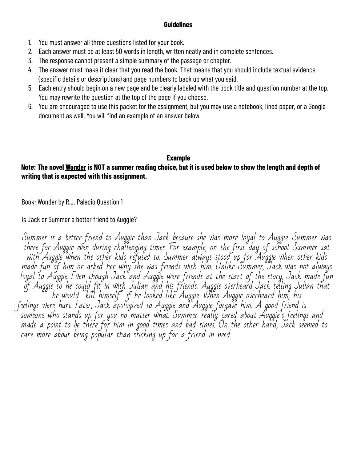#### **Guidelines**

- 1. You must answer all three questions listed for your book.
- 2. Each answer must be at least 50 words in length, written neatly and in complete sentences.
- 3. The response cannot present a simple summary of the passage or chapter.

care more about being popular than sticking up for a friend in need.

- 4. The answer must make it clear that you read the book. That means that you should include textual evidence (specific details or descriptions) and page numbers to back up what you said.
- 5. Each entry should begin on a new page and be clearly labeled with the book title and question number at the top. You may rewrite the question at the top of the page if you choose.
- 6. You are encouraged to use this packet for the assignment, but you may use a notebook, lined paper, or a Google document as well. You will find an example of an answer below.

### **Example**

### Note: The novel Wonder is NOT a summer reading choice, but it is used below to show the length and depth of **writing that is expected with this assignment.**

Book: Wonder by R.J. Palacio Question 1

Is Jack or Summer a better friend to Auggie?

Summer is a better friend to Auggie than Jack because she was more loyal to Auggie. Summer was there for Auggie even during challenging times. For example, on the first day of school Summer sat with Auggie when the other kids refused to. Summer always stood up for Auggie when other kids made fun of him or asked her why she was friends with him. Unlike Summer, Jack was not always loyal to Auggie. Even though Jack and Auggie were friends at the start of the story, Jack made fun of Auggie so he could fit in with Julian and his friends. Auggie overheard Jack telling Julian that he would "kill himself" if he looked like Auggie. When Auggie overheard him, his feelings were hurt. Later, Jack apologized to Auggie and Auggie forgave him. A good friend is someone who stands up for you no matter what. Summer really cared about Auggie's feelings and made a point to be there for him in good times and bad times. On the other hand, Jack seemed to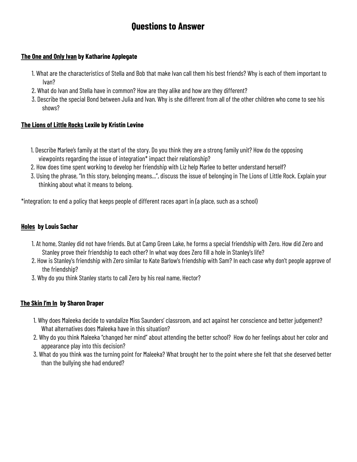## **Questions to Answer**

#### **The One and Only Ivan by Katharine Applegate**

- 1. What are the characteristics of Stella and Bob that make Ivan call them his best friends? Why is each of them important to Ivan?
- 2. What do Ivan and Stella have in common? How are they alike and how are they different?
- 3. Describe the special Bond between Julia and Ivan. Why is she different from all of the other children who come to see his shows?

#### **The Lions of Little Rocks Lexile by Kristin Levine**

- 1. Describe Marlee's family at the start of the story. Do you think they are a strong family unit? How do the opposing viewpoints regarding the issue of integration\* impact their relationship?
- 2. How does time spent working to develop her friendship with Liz help Marlee to better understand herself?
- 3. Using the phrase, "In this story, belonging means...", discuss the issue of belonging in The Lions of Little Rock. Explain your thinking about what it means to belong.

\*integration: to end a policy that keeps people of different races apart in (a place, such as a school)

#### **Holes by Louis Sachar**

- 1. At home, Stanley did not have friends. But at Camp Green Lake, he forms a special friendship with Zero. How did Zero and Stanley prove their friendship to each other? In what way does Zero fill a hole in Stanley's life?
- 2. How is Stanley's friendship with Zero similar to Kate Barlow's friendship with Sam? In each case why don't people approve of the friendship?
- 3. Why do you think Stanley starts to call Zero by his real name, Hector?

#### **The Skin I'm In by Sharon Draper**

- 1. Why does Maleeka decide to vandalize Miss Saunders' classroom, and act against her conscience and better judgement? What alternatives does Maleeka have in this situation?
- 2. Why do you think Maleeka "changed her mind" about attending the better school? How do her feelings about her color and appearance play into this decision?
- 3. What do you think was the turning point for Maleeka? What brought her to the point where she felt that she deserved better than the bullying she had endured?